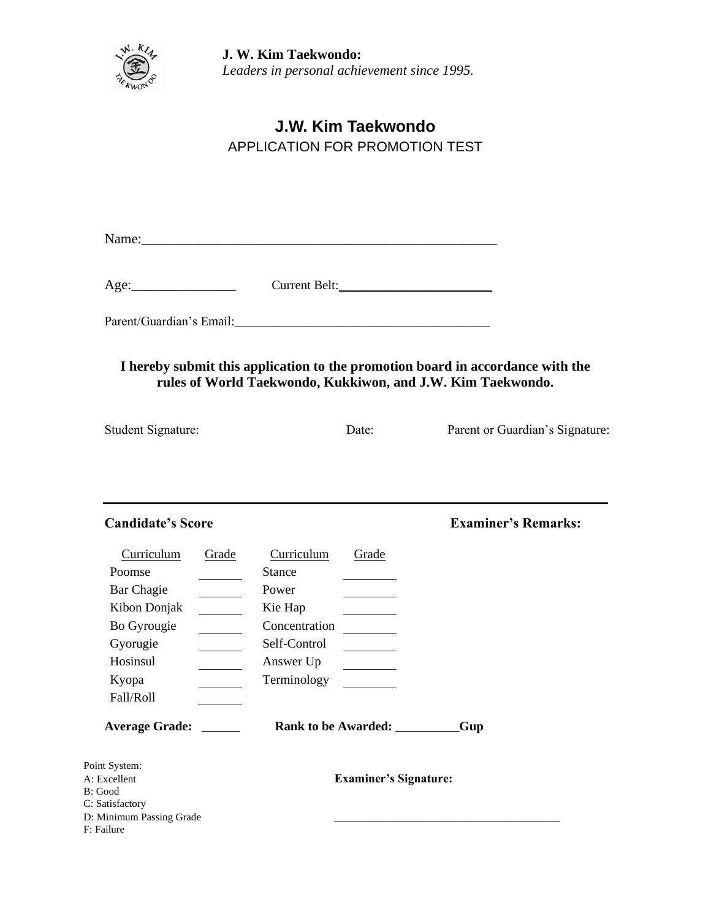

**J. W. Kim Taekwondo:** *Leaders in personal achievement since 1995.*

## **J.W. Kim Taekwondo** APPLICATION FOR PROMOTION TEST

Name:\_\_\_\_\_\_\_\_\_\_\_\_\_\_\_\_\_\_\_\_\_\_\_\_\_\_\_\_\_\_\_\_\_\_\_\_\_\_\_\_\_\_\_\_\_\_\_\_\_\_\_

| Age: | Current Belt: |  |
|------|---------------|--|
|      |               |  |

Parent/Guardian's Email:\_\_\_\_\_\_\_\_\_\_\_\_\_\_\_\_\_\_\_\_\_\_\_\_\_\_\_\_\_\_\_\_\_\_\_\_\_\_\_\_

## **I hereby submit this application to the promotion board in accordance with the rules of World Taekwondo, Kukkiwon, and J.W. Kim Taekwondo.**

| <b>Student Signature:</b> | Date: | Parent or Guardian's Signature: |
|---------------------------|-------|---------------------------------|
|                           |       |                                 |

| <b>Candidate's Score</b>                                                                                        |                                                                                                                       |                               | <b>Examiner's Remarks:</b> |
|-----------------------------------------------------------------------------------------------------------------|-----------------------------------------------------------------------------------------------------------------------|-------------------------------|----------------------------|
| Curriculum<br>Poomse<br>Bar Chagie<br>Kibon Donjak<br>Bo Gyrougie<br>Gyorugie<br>Hosinsul<br>Kyopa<br>Fall/Roll | Curriculum<br>Grade<br><b>Stance</b><br>Power<br>Kie Hap<br>Concentration<br>Self-Control<br>Answer Up<br>Terminology | Grade                         |                            |
| <b>Average Grade:</b>                                                                                           |                                                                                                                       | Rank to be Awarded: _________ | Gup                        |
| Point System:<br>A: Excellent<br>B: Good<br>C: Satisfactory<br>D: Minimum Passing Grade<br>F: Failure           |                                                                                                                       | <b>Examiner's Signature:</b>  |                            |